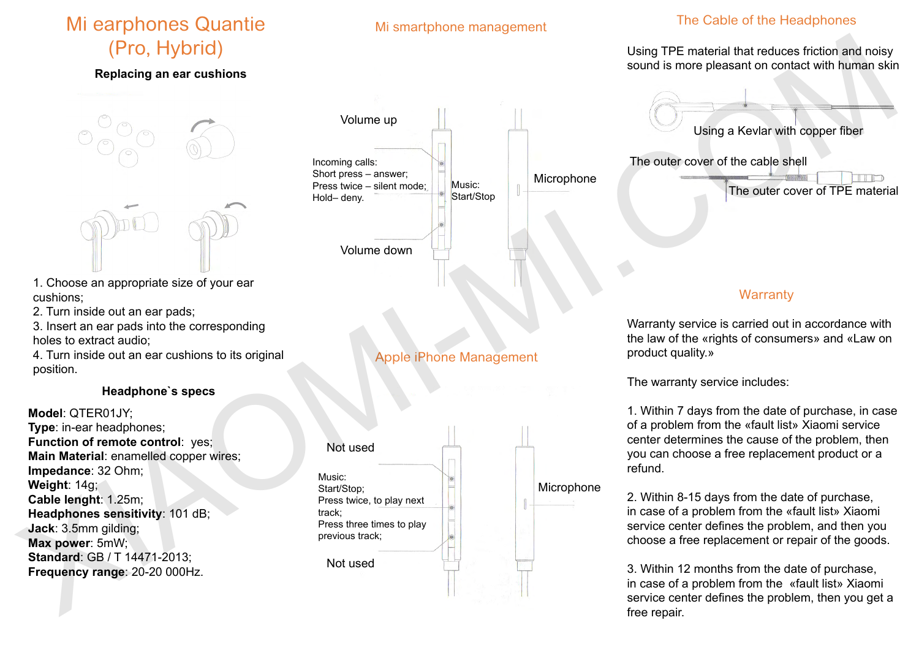# Mi earphones Quantie (Pro, Hybrid)

#### **Replacing an ear cushions**



- 1. Choose an appropriate size of your ear cushions;
- 2. Turn inside out an ear pads;
- 3. Insert an ear pads into the corresponding holes to extract audio;
- 4. Turn inside out an ear cushions to its original position.

#### **Headphone`s specs**

**Model**: QTER01JY; **Type**: in-ear headphones; **Function of remote control**: yes; **Main Material**: enamelled copper wires; **Impedance**: 32 Ohm; **Weight**: 14g; **Cable lenght**: 1.25m; **Headphones sensitivity**: 101 dB; **Jack**: 3.5mm gilding; **Max power**: 5mW; **Standard**: GB / T 14471-2013; **Frequency range**: 20-20 000Hz.

# Microphone Volume up Incoming calls: Short press – answer; Press twice – silent mode; Hold– deny. Music: Start/Stop

Mi smartphone management

Volume down

# Apple iPhone Management

Music: Start/Stop; Press twice, to play next track; Press three times to play previous track; Not used

Not used

# The Cable of the Headphones

#### Using TPE material that reduces friction and noisy sound is more pleasant on contact with human skin



# **Warranty**

Warranty service is carried out in accordance with the law of the «rights of consumers» and «Law on product quality.»

The warranty service includes:

1. Within 7 days from the date of purchase, in case of a problem from the «fault list» Xiaomi service center determines the cause of the problem, then you can choose a free replacement product or a refund.

Microphone

2. Within 8-15 days from the date of purchase, in case of a problem from the «fault list» Xiaomi service center defines the problem, and then you choose a free replacement or repair of the goods.

3. Within 12 months from the date of purchase, in case of a problem from the «fault list» Xiaomi service center defines the problem, then you get a free repair.